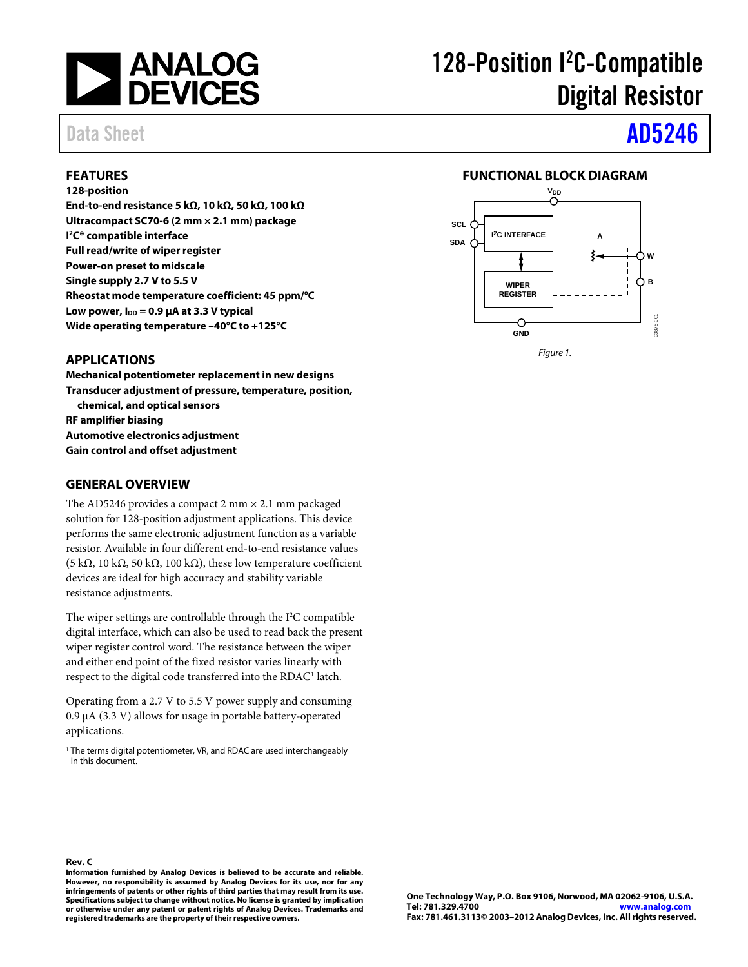

# 128-Position I<sup>2</sup>C-Compatible Digital Resistor

# Data Sheet **[AD5246](www.analog.com/AD5246)**

## **FEATURES**

### **128-position**

**End-to-end resistance 5 kΩ, 10 kΩ, 50 kΩ, 100 kΩ Ultracompact SC70-6 (2 mm × 2.1 mm) package I 2C® compatible interface Full read/write of wiper register Power-on preset to midscale Single supply 2.7 V to 5.5 V Rheostat mode temperature coefficient: 45 ppm/°C** Low power,  $I_{DD} = 0.9 \mu A$  at 3.3 V typical **Wide operating temperature –40°C to +125°C**

## **FUNCTIONAL BLOCK DIAGRAM**



## **APPLICATIONS**

**Mechanical potentiometer replacement in new designs Transducer adjustment of pressure, temperature, position, chemical, and optical sensors RF amplifier biasing Automotive electronics adjustment Gain control and offset adjustment**

## **GENERAL OVERVIEW**

The AD5246 provides a compact 2 mm  $\times$  2.1 mm packaged solution for 128-position adjustment applications. This device performs the same electronic adjustment function as a variable resistor. Available in four different end-to-end resistance values (5 kΩ, 10 kΩ, 50 kΩ, 100 kΩ), these low temperature coefficient devices are ideal for high accuracy and stability variable resistance adjustments.

The wiper settings are controllable through the  $I<sup>2</sup>C$  compatible digital interface, which can also be used to read back the present wiper register control word. The resistance between the wiper and either end point of the fixed resistor varies linearly with respect to the digital code transferred into the RDAC<sup>1</sup> latch.

Operating from a 2.7 V to 5.5 V power supply and consuming 0.9 µA (3.3 V) allows for usage in portable battery-operated applications.

<sup>1</sup> The terms digital potentiometer, VR, and RDAC are used interchangeably in this document.

**Rev. C**

**Information furnished by Analog Devices is believed to be accurate and reliable. However, no responsibility is assumed by Analog Devices for its use, nor for any infringements of patents or other rights of third parties that may result from its use. Specifications subject to change without notice. No license is granted by implication or otherwise under any patent or patent rights of Analog Devices. Trademarks and registered trademarks are the property of their respective owners.**

**One Technology Way, P.O. Box 9106, Norwood, MA 02062-9106, U.S.A. Tel: 781.329.4700 [www.analog.com](http://www.analog.com/) Fax: 781.461.3113© 2003–2012 Analog Devices, Inc. All rights reserved.**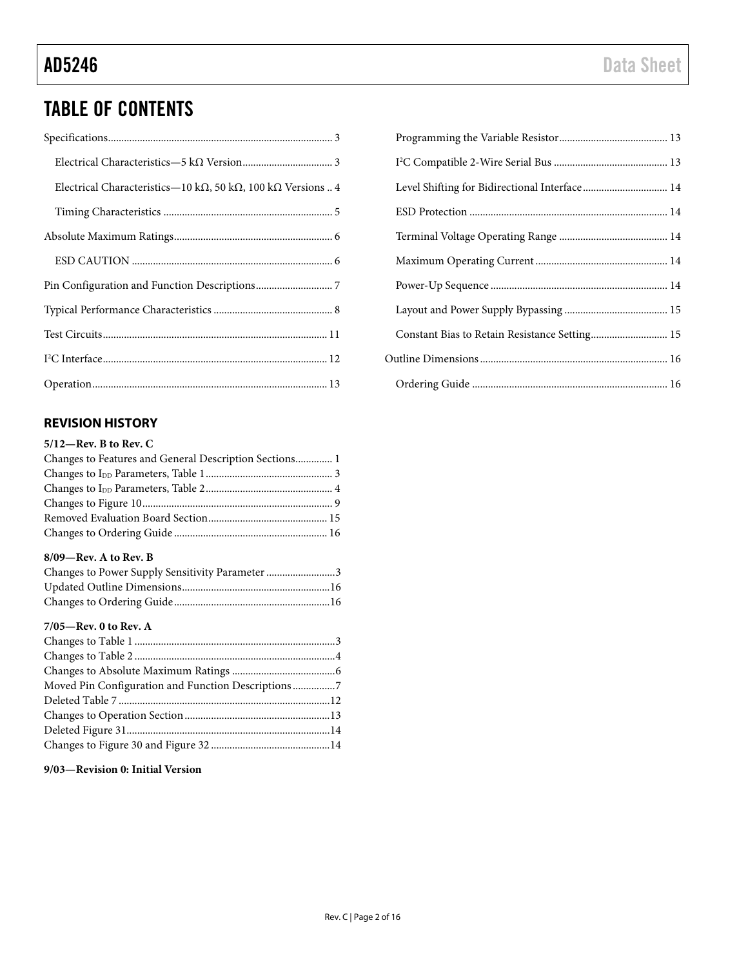## TABLE OF CONTENTS

| Electrical Characteristics-10 k $\Omega$ , 50 k $\Omega$ , 100 k $\Omega$ Versions  4 |
|---------------------------------------------------------------------------------------|
|                                                                                       |
|                                                                                       |
|                                                                                       |
|                                                                                       |
|                                                                                       |
|                                                                                       |
|                                                                                       |
|                                                                                       |

## **REVISION HISTORY**

## **5/12—Rev. B to Rev. C**

| Changes to Features and General Description Sections 1 |  |
|--------------------------------------------------------|--|
|                                                        |  |
|                                                        |  |
|                                                        |  |
|                                                        |  |
|                                                        |  |

### **8/09—Rev. A to Rev. B**

| Changes to Power Supply Sensitivity Parameter 3 |  |
|-------------------------------------------------|--|
|                                                 |  |
|                                                 |  |

## **7/05—Rev. 0 to Rev. A**

| Moved Pin Configuration and Function Descriptions7 |  |
|----------------------------------------------------|--|
|                                                    |  |
|                                                    |  |
|                                                    |  |
|                                                    |  |

**9/03—Revision 0: Initial Version**

| Level Shifting for Bidirectional Interface 14 |  |
|-----------------------------------------------|--|
|                                               |  |
|                                               |  |
|                                               |  |
|                                               |  |
|                                               |  |
| Constant Bias to Retain Resistance Setting 15 |  |
|                                               |  |
|                                               |  |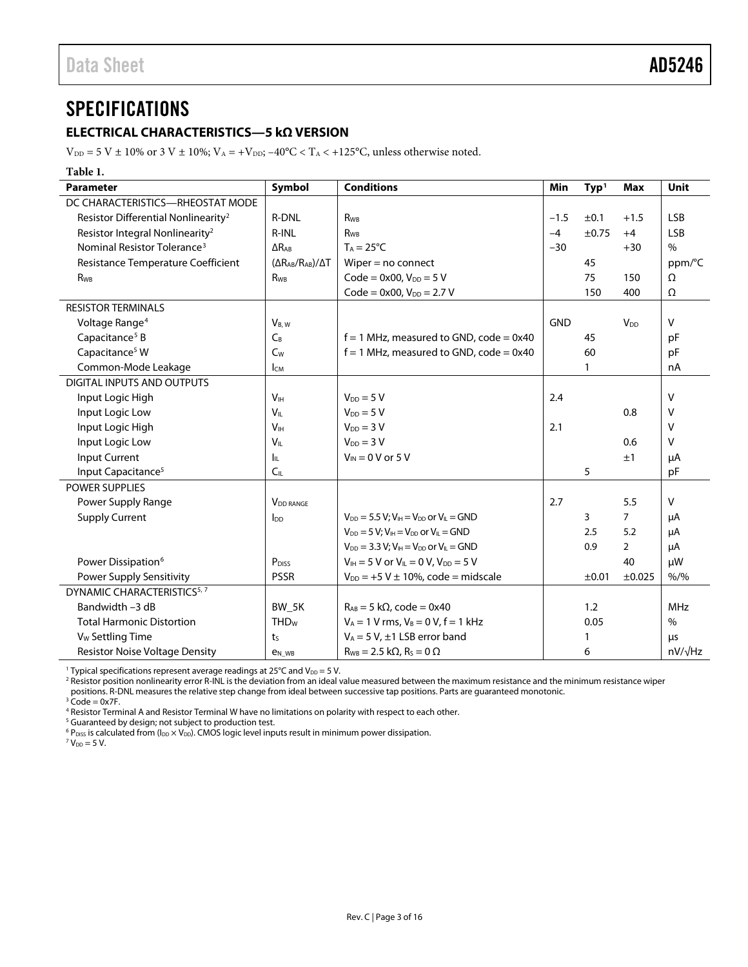## <span id="page-2-0"></span>**SPECIFICATIONS**

## <span id="page-2-1"></span>**ELECTRICAL CHARACTERISTICS—5 kΩ VERSION**

 $V_{\text{DD}} = 5$  V  $\pm$  10% or 3 V  $\pm$  10%;  $V_{\text{A}} = +V_{\text{DD}}$ ; -40°C < T<sub>A</sub> < +125°C, unless otherwise noted.

### **Table 1.**

| <b>Parameter</b>                                | Symbol                            | <b>Conditions</b>                                    | Min        | Type <sup>1</sup> | <b>Max</b>      | Unit           |
|-------------------------------------------------|-----------------------------------|------------------------------------------------------|------------|-------------------|-----------------|----------------|
| DC CHARACTERISTICS-RHEOSTAT MODE                |                                   |                                                      |            |                   |                 |                |
| Resistor Differential Nonlinearity <sup>2</sup> | R-DNL                             | <b>R</b> w <sub>B</sub>                              | $-1.5$     | ±0.1              | $+1.5$          | <b>LSB</b>     |
| Resistor Integral Nonlinearity <sup>2</sup>     | R-INL                             | <b>R</b> <sub>WB</sub>                               | $-4$       | $\pm 0.75$        | $+4$            | <b>LSB</b>     |
| Nominal Resistor Tolerance <sup>3</sup>         | $\Delta$ R <sub>AB</sub>          | $T_A = 25^{\circ}C$                                  | $-30$      |                   | $+30$           | $\%$           |
| Resistance Temperature Coefficient              | $(\Delta R_{AB}/R_{AB})/\Delta T$ | Wiper $=$ no connect                                 |            | 45                |                 | ppm/°C         |
| R <sub>WB</sub>                                 | R <sub>WB</sub>                   | $Code = 0x00, VDD = 5 V$                             |            | 75                | 150             | Ω              |
|                                                 |                                   | $Code = 0x00, VDD = 2.7 V$                           |            | 150               | 400             | Ω              |
| <b>RESISTOR TERMINALS</b>                       |                                   |                                                      |            |                   |                 |                |
| Voltage Range <sup>4</sup>                      | $V_{B, W}$                        |                                                      | <b>GND</b> |                   | V <sub>DD</sub> | $\vee$         |
| Capacitance <sup>5</sup> B                      | $C_B$                             | $f = 1$ MHz, measured to GND, code = 0x40            |            | 45                |                 | pF             |
| Capacitance <sup>5</sup> W                      | C <sub>w</sub>                    | $f = 1$ MHz, measured to GND, code = 0x40            |            | 60                |                 | pF             |
| Common-Mode Leakage                             | I <sub>CM</sub>                   |                                                      |            | $\mathbf{1}$      |                 | nA             |
| DIGITAL INPUTS AND OUTPUTS                      |                                   |                                                      |            |                   |                 |                |
| Input Logic High                                | V <sub>IН</sub>                   | $V_{DD} = 5 V$                                       | 2.4        |                   |                 | V              |
| Input Logic Low                                 | V <sub>IL</sub>                   | $V_{DD} = 5 V$                                       |            |                   | 0.8             | V              |
| Input Logic High                                | V <sub>H</sub>                    | $V_{DD} = 3 V$                                       | 2.1        |                   |                 | $\vee$         |
| Input Logic Low                                 | $V_{\parallel}$                   | $V_{DD} = 3 V$                                       |            |                   | 0.6             | v              |
| Input Current                                   | Iπ                                | $V_{IN}$ = 0 V or 5 V                                |            |                   | ±1              | μA             |
| Input Capacitance <sup>5</sup>                  | $C_{IL}$                          |                                                      |            | 5                 |                 | pF             |
| POWER SUPPLIES                                  |                                   |                                                      |            |                   |                 |                |
| Power Supply Range                              | <b>V</b> <sub>DD</sub> RANGE      |                                                      | 2.7        |                   | 5.5             | $\vee$         |
| <b>Supply Current</b>                           | <b>I</b> <sub>DD</sub>            | $V_{DD} = 5.5 V; V_{IH} = V_{DD}$ or $V_{IL} = GND$  |            | 3                 | $\overline{7}$  | μA             |
|                                                 |                                   | $V_{DD} = 5 V$ : $V_{IH} = V_{DD}$ or $V_{II} = GND$ |            | 2.5               | 5.2             | μA             |
|                                                 |                                   | $V_{DD} = 3.3 V: V_H = V_{DD}$ or $V_H = GND$        |            | 0.9               | $\overline{2}$  | μA             |
| Power Dissipation <sup>6</sup>                  | P <sub>DISS</sub>                 | $V_{IH} = 5 V$ or $V_{IL} = 0 V$ , $V_{DD} = 5 V$    |            |                   | 40              | μW             |
| Power Supply Sensitivity                        | <b>PSSR</b>                       | $V_{DD}$ = +5 V $\pm$ 10%, code = midscale           |            | ±0.01             | ±0.025          | $% /$ %        |
| DYNAMIC CHARACTERISTICS <sup>5, 7</sup>         |                                   |                                                      |            |                   |                 |                |
| Bandwidth -3 dB                                 | BW 5K                             | $R_{AB} = 5 k\Omega$ , code = 0x40                   |            | 1.2               |                 | <b>MHz</b>     |
| <b>Total Harmonic Distortion</b>                | <b>THD<sub>w</sub></b>            | $V_A = 1 V$ rms, $V_B = 0 V$ , $f = 1 kHz$           |            | 0.05              |                 | $\%$           |
| V <sub>w</sub> Settling Time                    | ts                                | $V_A = 5 V$ , $\pm$ 1 LSB error band                 |            |                   |                 | μs             |
| <b>Resistor Noise Voltage Density</b>           | <b>e<sub>N</sub></b> WB           | $R_{WB} = 2.5 k\Omega$ , $R_s = 0 \Omega$            |            | 6                 |                 | $nV/\sqrt{Hz}$ |

<sup>1</sup> Typical specifications represent average readings at 25°C and  $V_{DD} = 5$  V.

<sup>2</sup> Resistor position nonlinearity error R-INL is the deviation from an ideal value measured between the maximum resistance and the minimum resistance wiper positions. R-DNL measures the relative step change from ideal between successive tap positions. Parts are guaranteed monotonic.

 $3$  Code = 0x7F.

<sup>4</sup> Resistor Terminal A and Resistor Terminal W have no limitations on polarity with respect to each other.

<sup>5</sup> Guaranteed by design; not subject to production test.

 $6 P_{DISS}$  is calculated from ( $I_{DD} \times V_{DD}$ ). CMOS logic level inputs result in minimum power dissipation.

 $7 V_{DD} = 5 V$ .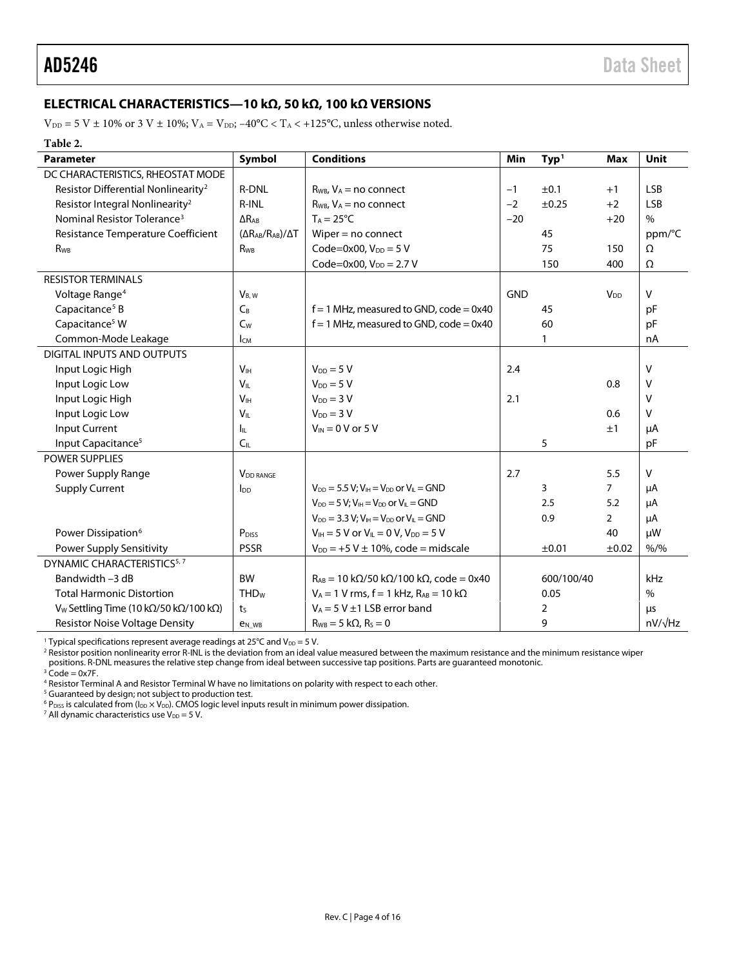## <span id="page-3-0"></span>**ELECTRICAL CHARACTERISTICS—10 kΩ, 50 kΩ, 100 kΩ VERSIONS**

 $\rm V_{\rm DD}$  = 5 V  $\pm$  10% or 3 V  $\pm$  10%;  $\rm V_{\rm A}$  = V<sub>DD</sub>; –40°C < T<sub>A</sub> < +125°C, unless otherwise noted.

**Table 2.**

| <b>Parameter</b>                                  | Symbol                            | <b>Conditions</b>                                                     | Min        | Type <sup>1</sup> | Max                    | <b>Unit</b>    |
|---------------------------------------------------|-----------------------------------|-----------------------------------------------------------------------|------------|-------------------|------------------------|----------------|
| DC CHARACTERISTICS, RHEOSTAT MODE                 |                                   |                                                                       |            |                   |                        |                |
| Resistor Differential Nonlinearity <sup>2</sup>   | <b>R-DNL</b>                      | $R_{WB}$ , $V_A$ = no connect                                         | $-1$       | ±0.1              | $+1$                   | <b>LSB</b>     |
| Resistor Integral Nonlinearity <sup>2</sup>       | R-INL                             | $R_{WB}$ , $V_A$ = no connect                                         | $-2$       | ±0.25             | $+2$                   | <b>LSB</b>     |
| Nominal Resistor Tolerance <sup>3</sup>           | $\Delta R_{AB}$                   | $T_A = 25^{\circ}C$                                                   | $-20$      |                   | $+20$                  | $\frac{0}{0}$  |
| Resistance Temperature Coefficient                | $(\Delta R_{AB}/R_{AB})/\Delta T$ | Wiper $=$ no connect                                                  |            | 45                |                        | ppm/°C         |
| R <sub>WB</sub>                                   | <b>R</b> <sub>wB</sub>            | Code=0x00, $V_{DD} = 5 V$                                             |            | 75                | 150                    | Ω              |
|                                                   |                                   | Code=0x00, $V_{DD} = 2.7 V$                                           |            | 150               | 400                    | Ω              |
| <b>RESISTOR TERMINALS</b>                         |                                   |                                                                       |            |                   |                        |                |
| Voltage Range <sup>4</sup>                        | $V_{B, W}$                        |                                                                       | <b>GND</b> |                   | <b>V</b> <sub>DD</sub> | V              |
| Capacitance <sup>5</sup> B                        | $C_B$                             | $f = 1$ MHz, measured to GND, code = 0x40                             |            | 45                |                        | pF             |
| Capacitance <sup>5</sup> W                        | C <sub>w</sub>                    | $f = 1$ MHz, measured to GND, code = 0x40                             |            | 60                |                        | pF             |
| Common-Mode Leakage                               | <b>Ісм</b>                        |                                                                       |            | $\mathbf{1}$      |                        | nA             |
| DIGITAL INPUTS AND OUTPUTS                        |                                   |                                                                       |            |                   |                        |                |
| Input Logic High                                  | V <sub>IH</sub>                   | $V_{DD} = 5 V$                                                        | 2.4        |                   |                        | V              |
| Input Logic Low                                   | V <sub>IL</sub>                   | $V_{DD} = 5 V$                                                        |            |                   | 0.8                    | V              |
| Input Logic High                                  | V <sub>IH</sub>                   | $V_{DD} = 3 V$                                                        | 2.1        |                   |                        | V              |
| Input Logic Low                                   | $V_{\text{IL}}$                   | $V_{DD} = 3 V$                                                        |            |                   | 0.6                    | v              |
| Input Current                                     | h.                                | $V_{IN}$ = 0 V or 5 V                                                 |            |                   | ±1                     | μA             |
| Input Capacitance <sup>5</sup>                    | C <sub>IL</sub>                   |                                                                       |            | 5                 |                        | pF             |
| <b>POWER SUPPLIES</b>                             |                                   |                                                                       |            |                   |                        |                |
| Power Supply Range                                | <b>VDD RANGE</b>                  |                                                                       | 2.7        |                   | 5.5                    | V              |
| <b>Supply Current</b>                             | $I_{DD}$                          | $V_{DD} = 5.5 V; V_{IH} = V_{DD}$ or $V_{II} = GND$                   |            | 3                 | $\overline{7}$         | μA             |
|                                                   |                                   | $V_{DD} = 5 V$ ; $V_{IH} = V_{DD}$ or $V_{IL} = GND$                  |            | 2.5               | 5.2                    | μA             |
|                                                   |                                   | $V_{DD} = 3.3 V: V_H = V_{DD}$ or $V_H = GND$                         |            | 0.9               | $\overline{2}$         | μA             |
| Power Dissipation <sup>6</sup>                    | P <sub>DISS</sub>                 | $V_{IH} = 5 V$ or $V_{IL} = 0 V$ , $V_{DD} = 5 V$                     |            |                   | 40                     | μW             |
| <b>Power Supply Sensitivity</b>                   | <b>PSSR</b>                       | $V_{DD}$ = +5 V $\pm$ 10%, code = midscale                            |            | ±0.01             | ±0.02                  | $% /$ %        |
| DYNAMIC CHARACTERISTICS <sup>5, 7</sup>           |                                   |                                                                       |            |                   |                        |                |
| Bandwidth -3 dB                                   | <b>BW</b>                         | $R_{AB}$ = 10 k $\Omega$ /50 k $\Omega$ /100 k $\Omega$ , code = 0x40 |            | 600/100/40        |                        | kHz            |
| <b>Total Harmonic Distortion</b>                  | <b>THD<sub>w</sub></b>            | $V_A = 1$ V rms, f = 1 kHz, $R_{AB} = 10$ k $\Omega$                  |            | 0.05              |                        | $\%$           |
| V <sub>w</sub> Settling Time (10 kΩ/50 kΩ/100 kΩ) | ts                                | $V_A = 5 V \pm 1$ LSB error band                                      |            | 2                 |                        | μs             |
| <b>Resistor Noise Voltage Density</b>             | <b>e</b> <sub>N</sub> WB          | $R_{WB} = 5 k\Omega$ , $R_S = 0$                                      |            | 9                 |                        | $nV/\sqrt{Hz}$ |

<sup>1</sup> Typical specifications represent average readings at 25°C and V<sub>DD</sub> = 5 V.

<sup>2</sup> Resistor position nonlinearity error R-INL is the deviation from an ideal value measured between the maximum resistance and the minimum resistance wiper positions. R-DNL measures the relative step change from ideal between successive tap positions. Parts are guaranteed monotonic.

 $3$  Code = 0x7F.

<sup>4</sup> Resistor Terminal A and Resistor Terminal W have no limitations on polarity with respect to each other.

<sup>5</sup> Guaranteed by design; not subject to production test.

 $^6$  P<sub>DISS</sub> is calculated from (I<sub>DD</sub>  $\times$  V<sub>DD</sub>). CMOS logic level inputs result in minimum power dissipation.

<sup>7</sup> All dynamic characteristics use  $V_{DD} = 5$  V.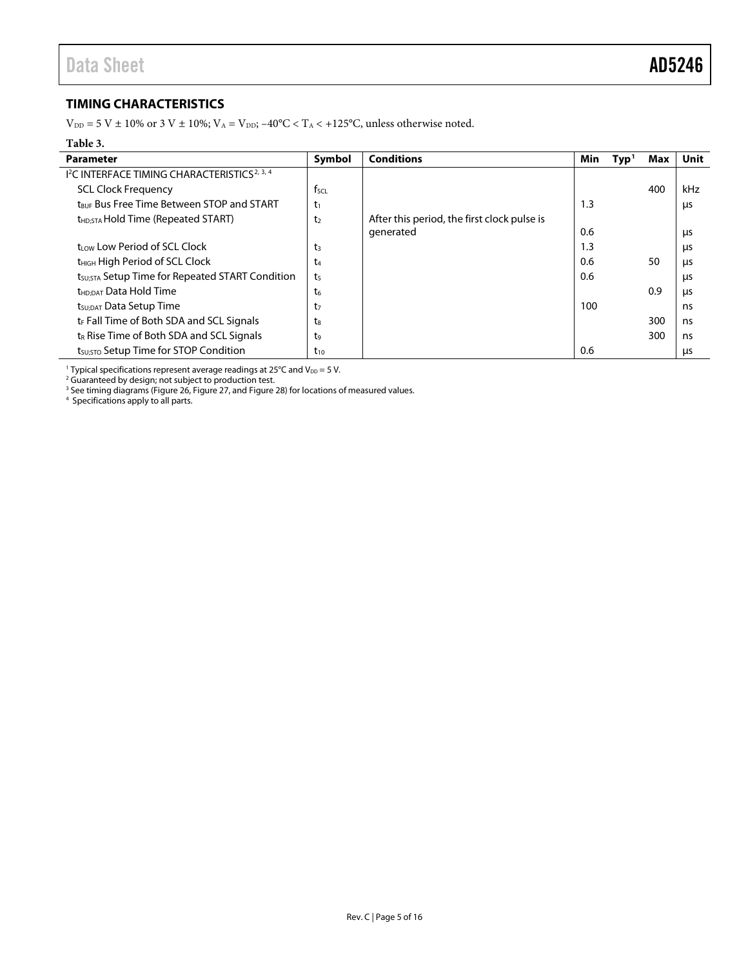## <span id="page-4-0"></span>**TIMING CHARACTERISTICS**

 $\rm V_{\rm DD}$  = 5 V  $\pm$  10% or 3 V  $\pm$  10%;  $\rm V_{\rm A}$  = V<sub>DD</sub>; –40°C < T<sub>A</sub> < +125°C, unless otherwise noted.

### **Table 3.**

| Parameter                                                           | Symbol           | <b>Conditions</b>                           | Min | Type <sup>1</sup> | Max | Unit |
|---------------------------------------------------------------------|------------------|---------------------------------------------|-----|-------------------|-----|------|
| <sup>12</sup> C INTERFACE TIMING CHARACTERISTICS <sup>2, 3, 4</sup> |                  |                                             |     |                   |     |      |
| <b>SCL Clock Frequency</b>                                          | f <sub>scl</sub> |                                             |     |                   | 400 | kHz  |
| t <sub>RUF</sub> Bus Free Time Between STOP and START               | $t_1$            |                                             | 1.3 |                   |     | μs   |
| t <sub>HD:STA</sub> Hold Time (Repeated START)                      | t <sub>2</sub>   | After this period, the first clock pulse is |     |                   |     |      |
|                                                                     |                  | generated                                   | 0.6 |                   |     | μs   |
| trow Low Period of SCL Clock                                        | t3               |                                             | 1.3 |                   |     | μs   |
| t <sub>HIGH</sub> High Period of SCL Clock                          | t4               |                                             | 0.6 |                   | 50  | μs   |
| t <sub>susta</sub> Setup Time for Repeated START Condition          | t <sub>5</sub>   |                                             | 0.6 |                   |     | μs   |
| t <sub>HD:DAT</sub> Data Hold Time                                  | t <sub>6</sub>   |                                             |     |                   | 0.9 | μs   |
| t <sub>su:DAT</sub> Data Setup Time                                 | t7               |                                             | 100 |                   |     | ns   |
| t <sub>F</sub> Fall Time of Both SDA and SCL Signals                | ts               |                                             |     |                   | 300 | ns   |
| $t_R$ Rise Time of Both SDA and SCL Signals                         | t,               |                                             |     |                   | 300 | ns   |
| t <sub>su:STO</sub> Setup Time for STOP Condition                   | $t_{10}$         |                                             | 0.6 |                   |     | μs   |

<sup>1</sup> Typical specifications represent average readings at 25°C and  $V_{DD}$  = 5 V.

<sup>2</sup> Guaranteed by design; not subject to production test.

<sup>3</sup> See timing diagrams [\(Figure 26,](#page-11-1) [Figure 27,](#page-11-2) an[d Figure 28\)](#page-11-3) for locations of measured values.<br><sup>4</sup> Specifications apply to all parts.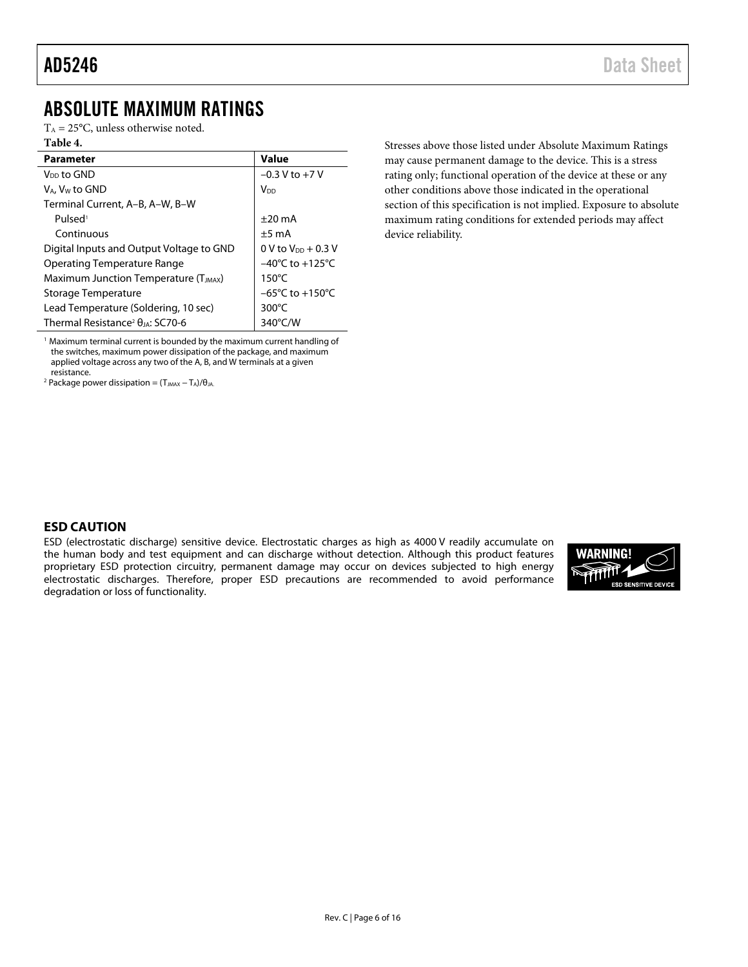## <span id="page-5-0"></span>ABSOLUTE MAXIMUM RATINGS

 $T_A = 25$ °C, unless otherwise noted.

## **Table 4.**

| <b>Parameter</b>                                       | Value                               |
|--------------------------------------------------------|-------------------------------------|
| V <sub>DD</sub> to GND                                 | $-0.3$ V to $+7$ V                  |
| V <sub>A</sub> , V <sub>w</sub> to GND                 | V <sub>DD</sub>                     |
| Terminal Current, A-B, A-W, B-W                        |                                     |
| Pulsed <sup>1</sup>                                    | $\pm 20$ mA                         |
| Continuous                                             | $+5 \text{ mA}$                     |
| Digital Inputs and Output Voltage to GND               | $0 \text{ V}$ to $V_{DD}$ + 0.3 V   |
| Operating Temperature Range                            | $-40^{\circ}$ C to $+125^{\circ}$ C |
| Maximum Junction Temperature (T <sub>JMAX</sub> )      | $150^{\circ}$ C                     |
| Storage Temperature                                    | $-65^{\circ}$ C to $+150^{\circ}$ C |
| Lead Temperature (Soldering, 10 sec)                   | $300^{\circ}$ C                     |
| Thermal Resistance <sup>2</sup> $\theta_{IA}$ : SC70-6 | $340^{\circ}$ C/W                   |

<sup>1</sup> Maximum terminal current is bounded by the maximum current handling of the switches, maximum power dissipation of the package, and maximum applied voltage across any two of the A, B, and W terminals at a given resistance.

<sup>2</sup> Package power dissipation =  $(T_{JMAX} - T_A)/\theta_{JA}$ .

Stresses above those listed under Absolute Maximum Ratings may cause permanent damage to the device. This is a stress rating only; functional operation of the device at these or any other conditions above those indicated in the operational section of this specification is not implied. Exposure to absolute maximum rating conditions for extended periods may affect device reliability.

## <span id="page-5-1"></span>**ESD CAUTION**

ESD (electrostatic discharge) sensitive device. Electrostatic charges as high as 4000 V readily accumulate on the human body and test equipment and can discharge without detection. Although this product features proprietary ESD protection circuitry, permanent damage may occur on devices subjected to high energy electrostatic discharges. Therefore, proper ESD precautions are recommended to avoid performance degradation or loss of functionality.

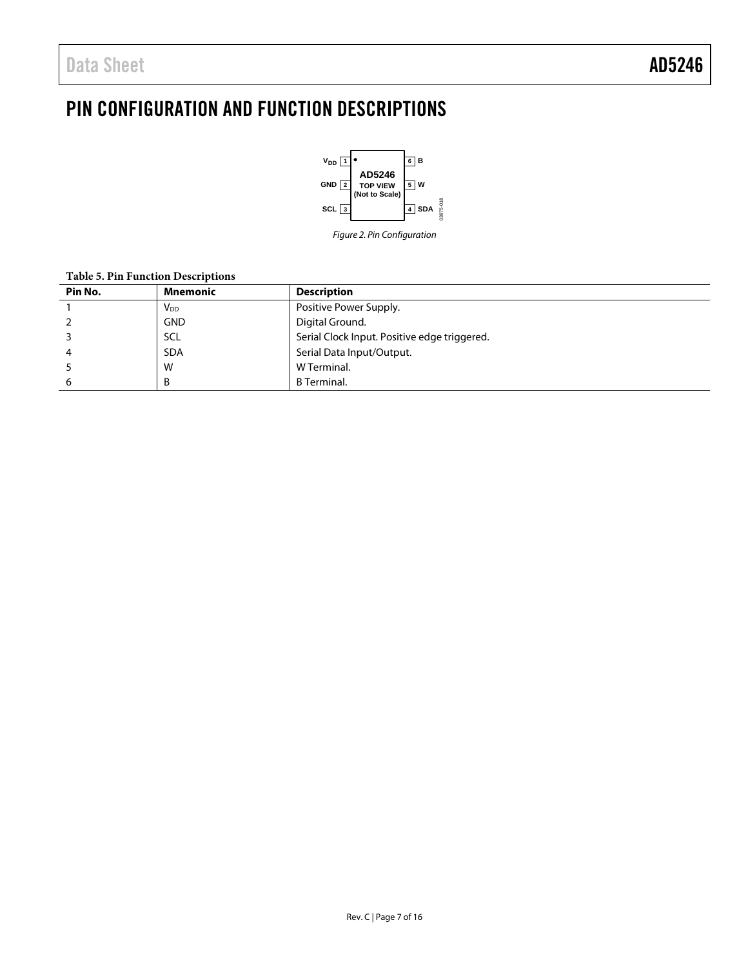## <span id="page-6-0"></span>PIN CONFIGURATION AND FUNCTION DESCRIPTIONS



*Figure 2. Pin Configuration*

### **Table 5. Pin Function Descriptions**

| Pin No. | Mnemonic              | <b>Description</b>                           |
|---------|-----------------------|----------------------------------------------|
|         | <b>V<sub>DD</sub></b> | Positive Power Supply.                       |
|         | <b>GND</b>            | Digital Ground.                              |
|         | SCL                   | Serial Clock Input. Positive edge triggered. |
|         | <b>SDA</b>            | Serial Data Input/Output.                    |
|         | W                     | W Terminal.                                  |
|         | B                     | <b>B</b> Terminal.                           |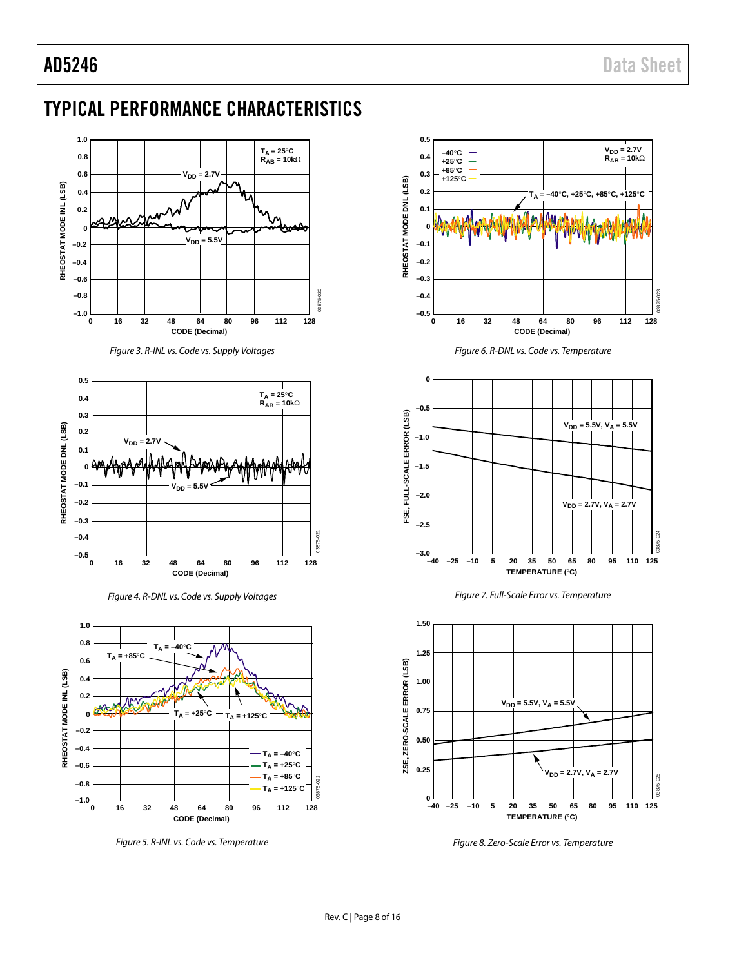## <span id="page-7-0"></span>TYPICAL PERFORMANCE CHARACTERISTICS



*Figure 3. R-INL vs. Code vs. Supply Voltages*



*Figure 4. R-DNL vs. Code vs. Supply Voltages*



*Figure 5. R-INL vs. Code vs. Temperature*



*Figure 6. R-DNL vs. Code vs. Temperature*







*Figure 8. Zero-Scale Error vs. Temperature*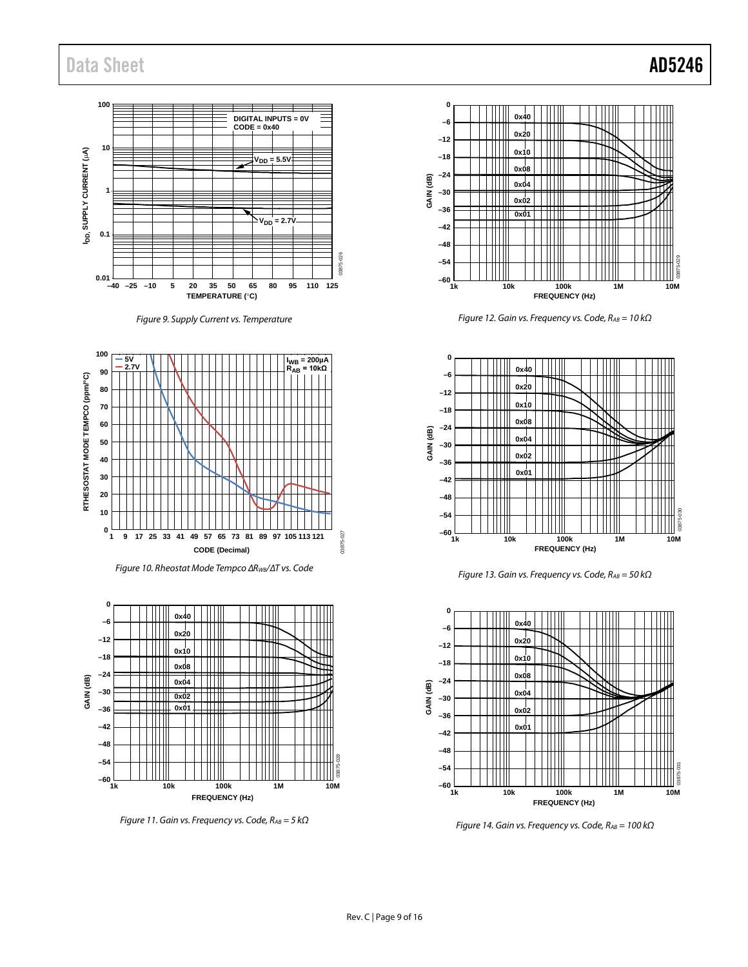## Data Sheet **AD5246**

### **100 DIGITAL INPUTS = 0V CODE = 0x40 10** I<sub>DD</sub>, SUPPLY CURRENT (µA) **IDD, SUPPLY CURRENT (**µ**A)**  $V_{DD} = 5.5V$ **1**  $V_{DD} = 2.7$ **0.1** 03875-026 **0.01 5 20 35 50 65 80 95 110 125 –40 –25 –10 TEMPERATURE (**°**C)**

*Figure 9. Supply Current vs. Temperature*



*Figure 10. Rheostat Mode Tempco ∆RWB/∆T vs. Code*



*Figure 11. Gain vs. Frequency vs. Code, RAB = 5 kΩ*



*Figure 12. Gain vs. Frequency vs. Code, RAB = 10 kΩ*



*Figure 13. Gain vs. Frequency vs. Code, RAB = 50 kΩ*



*Figure 14. Gain vs. Frequency vs. Code, RAB = 100 kΩ*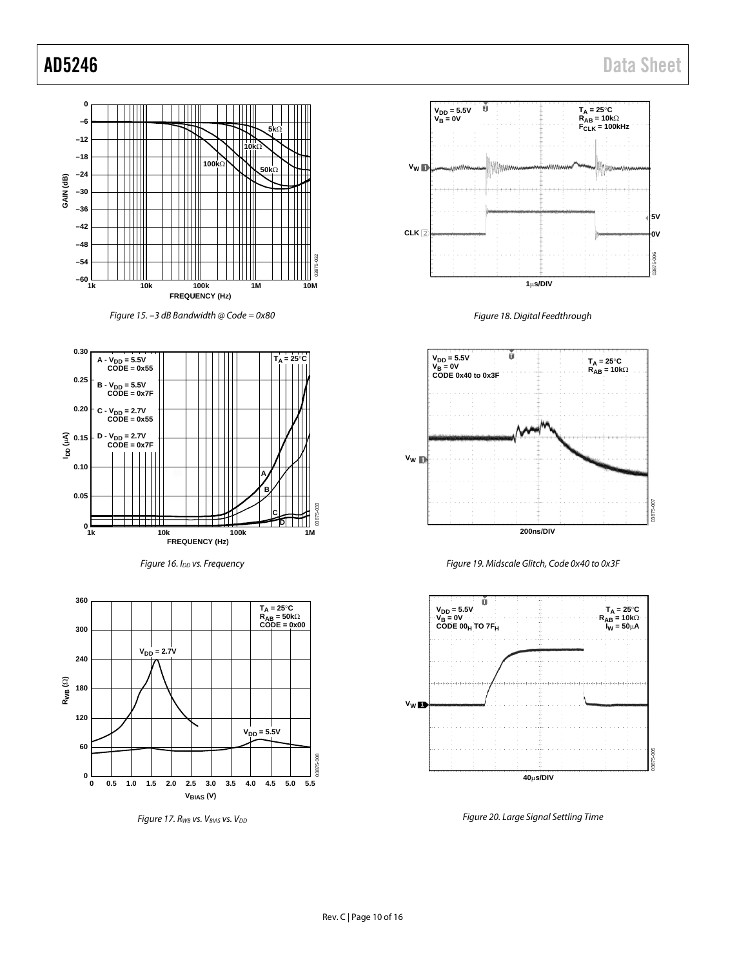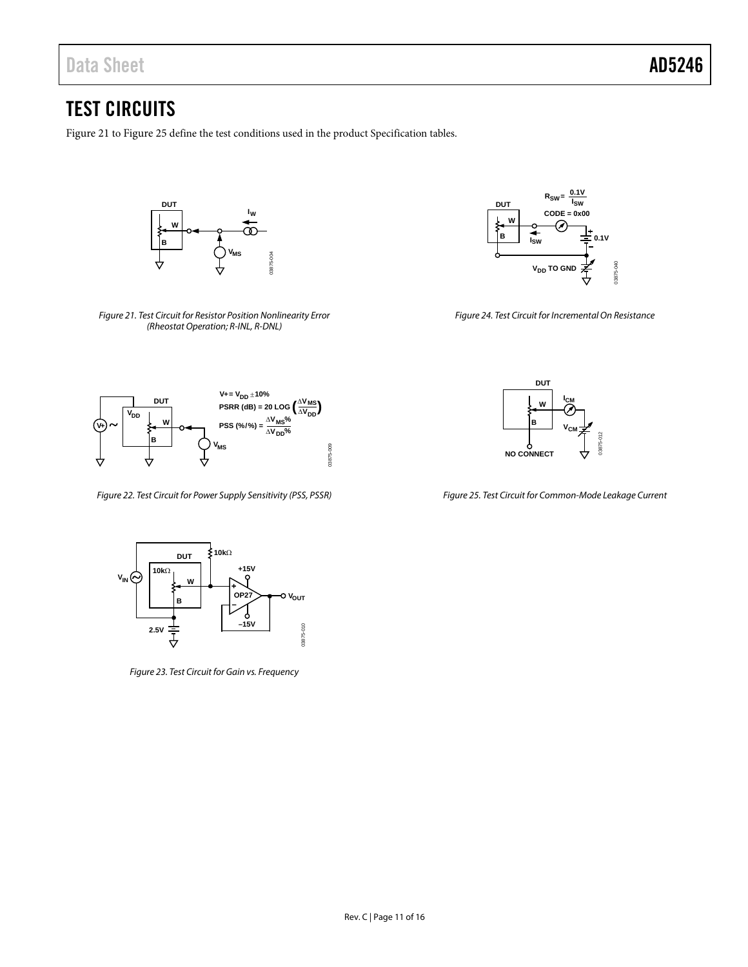## <span id="page-10-0"></span>TEST CIRCUITS

[Figure 21](#page-10-1) t[o Figure 25](#page-10-2) define the test conditions used in the product Specification tables.



<span id="page-10-1"></span>*Figure 21. Test Circuit for Resistor Position Nonlinearity Error (Rheostat Operation; R-INL, R-DNL)*



*Figure 24. Test Circuit for Incremental On Resistance*



*Figure 22. Test Circuit for Power Supply Sensitivity (PSS, PSSR)*



*Figure 23. Test Circuit for Gain vs. Frequency*



<span id="page-10-2"></span>*Figure 25. Test Circuit for Common-Mode Leakage Current*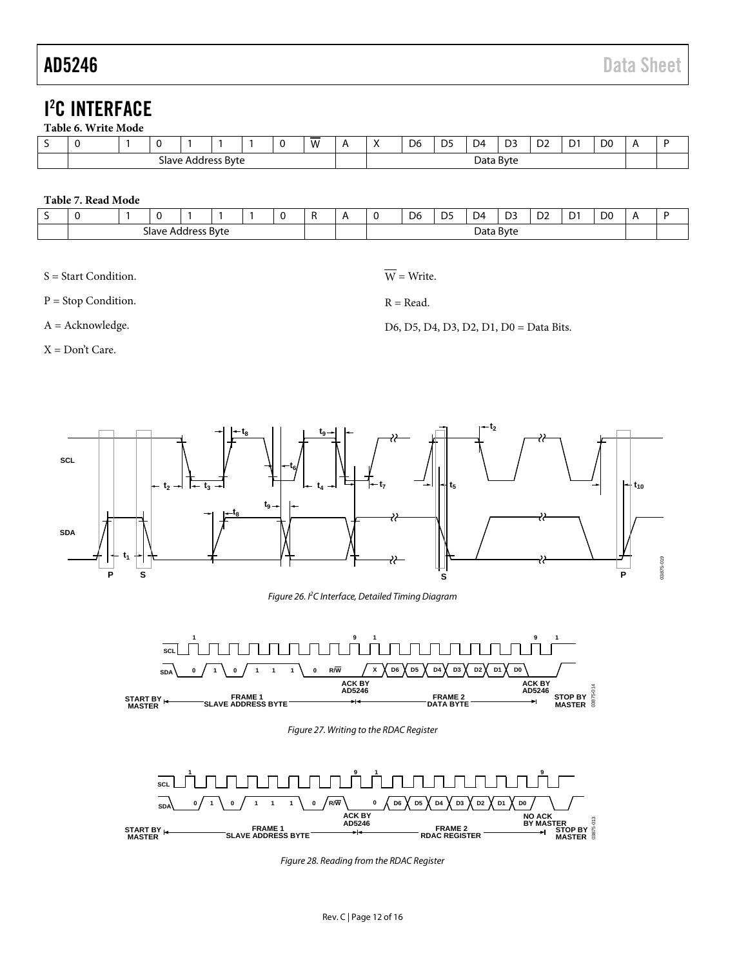## <span id="page-11-0"></span>I 2 C INTERFACE

<span id="page-11-4"></span>

| - | v                                        |  |  |  |  |  |  | -<br>W<br>v v |           | D <sub>6</sub> | $\Gamma$ | $\sim$<br>λΔ | D3 | $\sim$<br>◡ | $\sim$<br>υ | D <sub>0</sub> | n |  |
|---|------------------------------------------|--|--|--|--|--|--|---------------|-----------|----------------|----------|--------------|----|-------------|-------------|----------------|---|--|
|   | <b>Byte</b><br>avrد<br>.adrocc<br>ш<br>. |  |  |  |  |  |  |               | Data Byte |                |          |              |    |             |             |                |   |  |

### <span id="page-11-5"></span>**Table 7. Read Mode**

| -<br>- |                                                   |  |  |  |  |  |           |  |  | D <sub>6</sub> | DE<br>ັບ | D4 | D3 | $\sim$<br>υz | $\sim$<br>ע | D <sub>0</sub> |  |
|--------|---------------------------------------------------|--|--|--|--|--|-----------|--|--|----------------|----------|----|----|--------------|-------------|----------------|--|
|        | くいけつ<br>avrد<br>-------<br>aaar<br>ט ע-<br>$\sim$ |  |  |  |  |  | Data Byte |  |  |                |          |    |    |              |             |                |  |

S = Start Condition.

P = Stop Condition.

A = Acknowledge.

X = Don't Care.

 $\overline{W}$  = Write.

 $R = Read.$ 

D6, D5, D4, D3, D2, D1, D0 = Data Bits.



*Figure 26. I2 C Interface, Detailed Timing Diagram*

<span id="page-11-1"></span>

*Figure 27. Writing to the RDAC Register*

<span id="page-11-3"></span><span id="page-11-2"></span>

*Figure 28. Reading from the RDAC Register*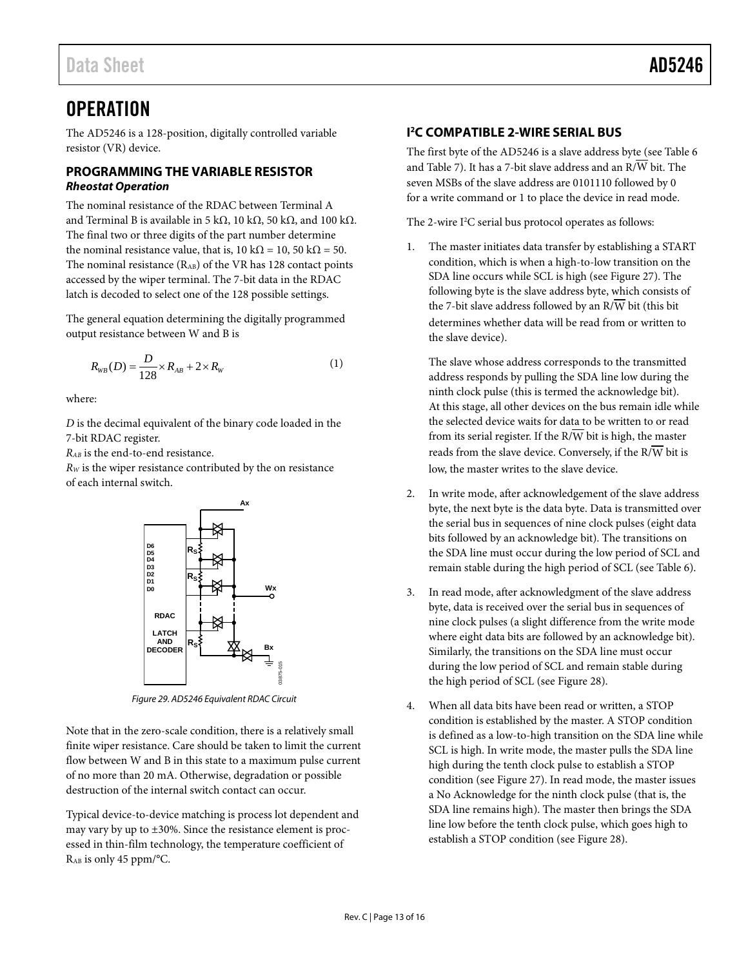## <span id="page-12-0"></span>**OPERATION**

The AD5246 is a 128-position, digitally controlled variable resistor (VR) device.

## <span id="page-12-1"></span>**PROGRAMMING THE VARIABLE RESISTOR** *Rheostat Operation*

The nominal resistance of the RDAC between Terminal A and Terminal B is available in 5 kΩ, 10 kΩ, 50 kΩ, and 100 kΩ. The final two or three digits of the part number determine the nominal resistance value, that is,  $10 \text{ k}\Omega = 10$ ,  $50 \text{ k}\Omega = 50$ . The nominal resistance (RAB) of the VR has 128 contact points accessed by the wiper terminal. The 7-bit data in the RDAC latch is decoded to select one of the 128 possible settings.

The general equation determining the digitally programmed output resistance between W and B is

$$
R_{WB}(D) = \frac{D}{128} \times R_{AB} + 2 \times R_{W}
$$
 (1)

where:

*D* is the decimal equivalent of the binary code loaded in the 7-bit RDAC register.

*RAB* is the end-to-end resistance.

*RW* is the wiper resistance contributed by the on resistance of each internal switch.



*Figure 29. AD5246 Equivalent RDAC Circuit*

Note that in the zero-scale condition, there is a relatively small finite wiper resistance. Care should be taken to limit the current flow between W and B in this state to a maximum pulse current of no more than 20 mA. Otherwise, degradation or possible destruction of the internal switch contact can occur.

Typical device-to-device matching is process lot dependent and may vary by up to ±30%. Since the resistance element is processed in thin-film technology, the temperature coefficient of RAB is only 45 ppm/°C.

## <span id="page-12-2"></span>**I 2 C COMPATIBLE 2-WIRE SERIAL BUS**

The first byte of the AD5246 is a slave address byte (se[e Table 6](#page-11-4) an[d Table 7\)](#page-11-5). It has a 7-bit slave address and an  $R/\overline{W}$  bit. The seven MSBs of the slave address are 0101110 followed by 0 for a write command or 1 to place the device in read mode.

The 2-wire  $I^2C$  serial bus protocol operates as follows:

1. The master initiates data transfer by establishing a START condition, which is when a high-to-low transition on the SDA line occurs while SCL is high (see [Figure 27\)](#page-11-2). The following byte is the slave address byte, which consists of the 7-bit slave address followed by an  $R/\overline{W}$  bit (this bit determines whether data will be read from or written to the slave device).

The slave whose address corresponds to the transmitted address responds by pulling the SDA line low during the ninth clock pulse (this is termed the acknowledge bit). At this stage, all other devices on the bus remain idle while the selected device waits for data to be written to or read from its serial register. If the  $R/\overline{W}$  bit is high, the master reads from the slave device. Conversely, if the  $R/\overline{W}$  bit is low, the master writes to the slave device.

- 2. In write mode, after acknowledgement of the slave address byte, the next byte is the data byte. Data is transmitted over the serial bus in sequences of nine clock pulses (eight data bits followed by an acknowledge bit). The transitions on the SDA line must occur during the low period of SCL and remain stable during the high period of SCL (se[e Table 6\)](#page-11-4).
- 3. In read mode, after acknowledgment of the slave address byte, data is received over the serial bus in sequences of nine clock pulses (a slight difference from the write mode where eight data bits are followed by an acknowledge bit). Similarly, the transitions on the SDA line must occur during the low period of SCL and remain stable during the high period of SCL (see [Figure 28\)](#page-11-3).
- When all data bits have been read or written, a STOP condition is established by the master. A STOP condition is defined as a low-to-high transition on the SDA line while SCL is high. In write mode, the master pulls the SDA line high during the tenth clock pulse to establish a STOP condition (see [Figure 27\)](#page-11-2). In read mode, the master issues a No Acknowledge for the ninth clock pulse (that is, the SDA line remains high). The master then brings the SDA line low before the tenth clock pulse, which goes high to establish a STOP condition (see [Figure 28\)](#page-11-3).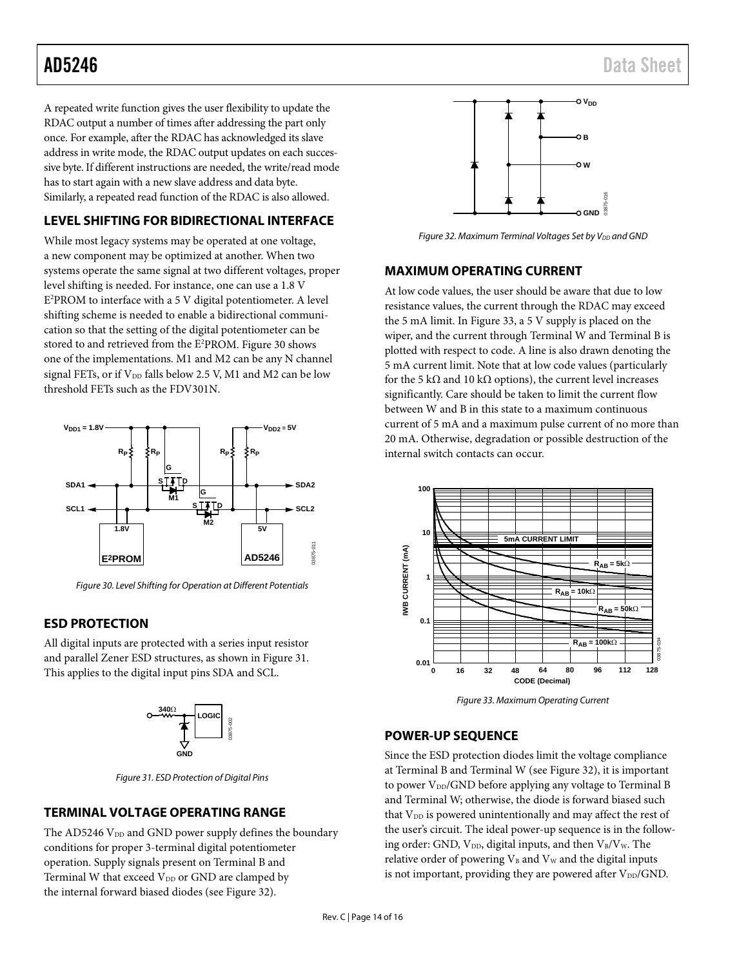A repeated write function gives the user flexibility to update the RDAC output a number of times after addressing the part only once. For example, after the RDAC has acknowledged its slave address in write mode, the RDAC output updates on each successive byte. If different instructions are needed, the write/read mode has to start again with a new slave address and data byte. Similarly, a repeated read function of the RDAC is also allowed.

## <span id="page-13-0"></span>**LEVEL SHIFTING FOR BIDIRECTIONAL INTERFACE**

While most legacy systems may be operated at one voltage, a new component may be optimized at another. When two systems operate the same signal at two different voltages, proper level shifting is needed. For instance, one can use a 1.8 V E2 PROM to interface with a 5 V digital potentiometer. A level shifting scheme is needed to enable a bidirectional communication so that the setting of the digital potentiometer can be stored to and retrieved from the E2 PROM. [Figure 30](#page-13-5) shows one of the implementations. M1 and M2 can be any N channel signal FETs, or if  $V_{DD}$  falls below 2.5 V, M1 and M2 can be low threshold FETs such as the FDV301N.



<span id="page-13-5"></span>*Figure 30. Level Shifting for Operation at Different Potentials*

## <span id="page-13-1"></span>**ESD PROTECTION**

All digital inputs are protected with a series input resistor and parallel Zener ESD structures, as shown i[n Figure 31.](#page-13-6) This applies to the digital input pins SDA and SCL.



*Figure 31. ESD Protection of Digital Pins*

## <span id="page-13-6"></span><span id="page-13-2"></span>**TERMINAL VOLTAGE OPERATING RANGE**

The AD5246 V<sub>DD</sub> and GND power supply defines the boundary conditions for proper 3-terminal digital potentiometer operation. Supply signals present on Terminal B and Terminal W that exceed  $V_{DD}$  or GND are clamped by the internal forward biased diodes (see [Figure 32\)](#page-13-7).



<span id="page-13-7"></span>*Figure 32. Maximum Terminal Voltages Set by V<sub>DD</sub> and GND* 

## <span id="page-13-3"></span>**MAXIMUM OPERATING CURRENT**

At low code values, the user should be aware that due to low resistance values, the current through the RDAC may exceed the 5 mA limit. I[n Figure 33,](#page-13-8) a 5 V supply is placed on the wiper, and the current through Terminal W and Terminal B is plotted with respect to code. A line is also drawn denoting the 5 mA current limit. Note that at low code values (particularly for the 5 k $\Omega$  and 10 k $\Omega$  options), the current level increases significantly. Care should be taken to limit the current flow between W and B in this state to a maximum continuous current of 5 mA and a maximum pulse current of no more than 20 mA. Otherwise, degradation or possible destruction of the internal switch contacts can occur.



*Figure 33. Maximum Operating Current*

## <span id="page-13-8"></span><span id="page-13-4"></span>**POWER-UP SEQUENCE**

Since the ESD protection diodes limit the voltage compliance at Terminal B and Terminal W (se[e Figure 32\)](#page-13-7), it is important to power V<sub>DD</sub>/GND before applying any voltage to Terminal B and Terminal W; otherwise, the diode is forward biased such that  $V_{DD}$  is powered unintentionally and may affect the rest of the user's circuit. The ideal power-up sequence is in the following order: GND,  $V_{DD}$ , digital inputs, and then  $V_B/V_W$ . The relative order of powering  $V_B$  and  $V_W$  and the digital inputs is not important, providing they are powered after  $V_{DD}/GND$ .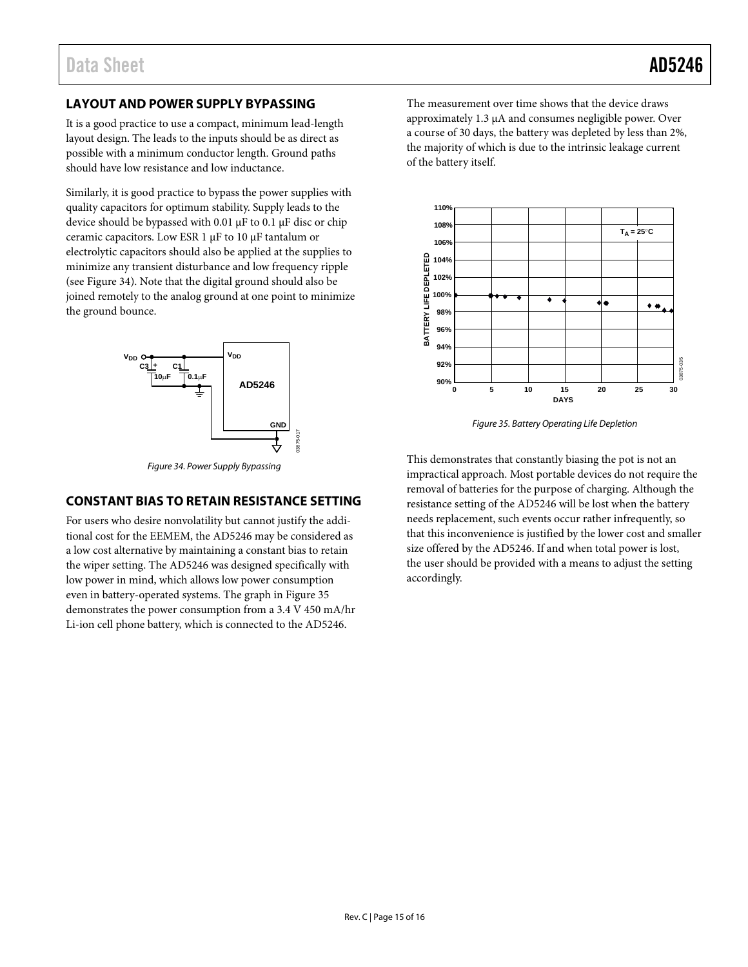## <span id="page-14-0"></span>**LAYOUT AND POWER SUPPLY BYPASSING**

It is a good practice to use a compact, minimum lead-length layout design. The leads to the inputs should be as direct as possible with a minimum conductor length. Ground paths should have low resistance and low inductance.

Similarly, it is good practice to bypass the power supplies with quality capacitors for optimum stability. Supply leads to the device should be bypassed with 0.01 µF to 0.1 µF disc or chip ceramic capacitors. Low ESR 1 µF to 10 µF tantalum or electrolytic capacitors should also be applied at the supplies to minimize any transient disturbance and low frequency ripple (see [Figure 34\)](#page-14-2). Note that the digital ground should also be joined remotely to the analog ground at one point to minimize the ground bounce.



*Figure 34. Power Supply Bypassing*

## <span id="page-14-2"></span><span id="page-14-1"></span>**CONSTANT BIAS TO RETAIN RESISTANCE SETTING**

For users who desire nonvolatility but cannot justify the additional cost for the EEMEM, the AD5246 may be considered as a low cost alternative by maintaining a constant bias to retain the wiper setting. The AD5246 was designed specifically with low power in mind, which allows low power consumption even in battery-operated systems. The graph in [Figure 35](#page-14-3) demonstrates the power consumption from a 3.4 V 450 mA/hr Li-ion cell phone battery, which is connected to the AD5246.

The measurement over time shows that the device draws approximately 1.3 µA and consumes negligible power. Over a course of 30 days, the battery was depleted by less than 2%, the majority of which is due to the intrinsic leakage current of the battery itself.



*Figure 35. Battery Operating Life Depletion*

<span id="page-14-3"></span>This demonstrates that constantly biasing the pot is not an impractical approach. Most portable devices do not require the removal of batteries for the purpose of charging. Although the resistance setting of the AD5246 will be lost when the battery needs replacement, such events occur rather infrequently, so that this inconvenience is justified by the lower cost and smaller size offered by the AD5246. If and when total power is lost, the user should be provided with a means to adjust the setting accordingly.